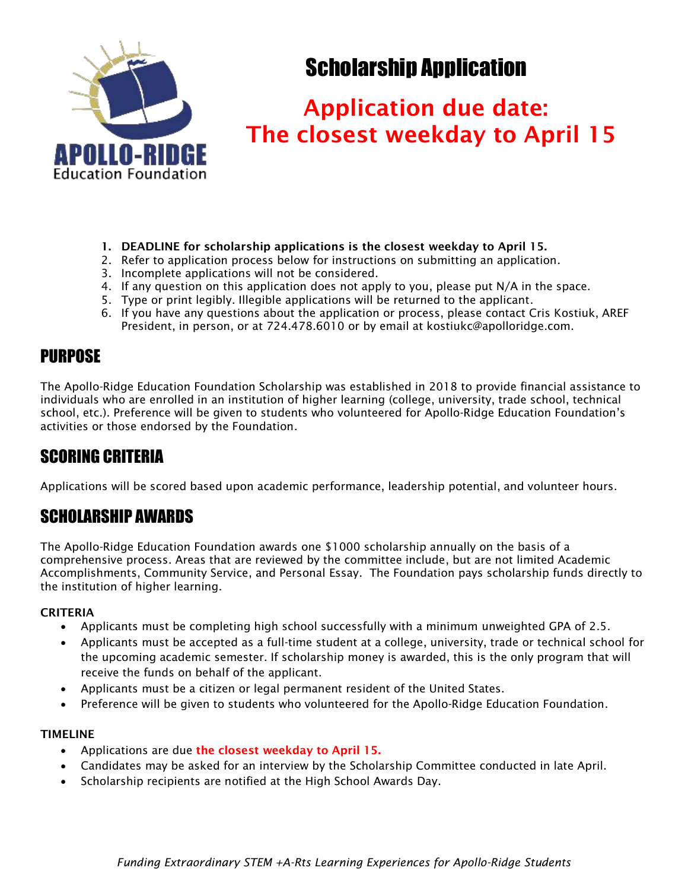

# Scholarship Application

# Application due date: The closest weekday to April 15

- 1. DEADLINE for scholarship applications is the closest weekday to April 15.
- 2. Refer to application process below for instructions on submitting an application.
- 3. Incomplete applications will not be considered.
- 4. If any question on this application does not apply to you, please put N/A in the space.
- 5. Type or print legibly. Illegible applications will be returned to the applicant.
- 6. If you have any questions about the application or process, please contact Cris Kostiuk, AREF President, in person, or at 724.478.6010 or by email at kostiukc@apolloridge.com.

## PURPOSE

The Apollo-Ridge Education Foundation Scholarship was established in 2018 to provide financial assistance to individuals who are enrolled in an institution of higher learning (college, university, trade school, technical school, etc.). Preference will be given to students who volunteered for Apollo-Ridge Education Foundation's activities or those endorsed by the Foundation.

## SCORING CRITERIA

Applications will be scored based upon academic performance, leadership potential, and volunteer hours.

# SCHOLARSHIP AWARDS

The Apollo-Ridge Education Foundation awards one \$1000 scholarship annually on the basis of a comprehensive process. Areas that are reviewed by the committee include, but are not limited Academic Accomplishments, Community Service, and Personal Essay. The Foundation pays scholarship funds directly to the institution of higher learning.

### **CRITERIA**

- Applicants must be completing high school successfully with a minimum unweighted GPA of 2.5.
- Applicants must be accepted as a full-time student at a college, university, trade or technical school for the upcoming academic semester. If scholarship money is awarded, this is the only program that will receive the funds on behalf of the applicant.
- Applicants must be a citizen or legal permanent resident of the United States.
- Preference will be given to students who volunteered for the Apollo-Ridge Education Foundation.

### TIMELINE

- Applications are due the closest weekday to April 15.
- Candidates may be asked for an interview by the Scholarship Committee conducted in late April.
- Scholarship recipients are notified at the High School Awards Day.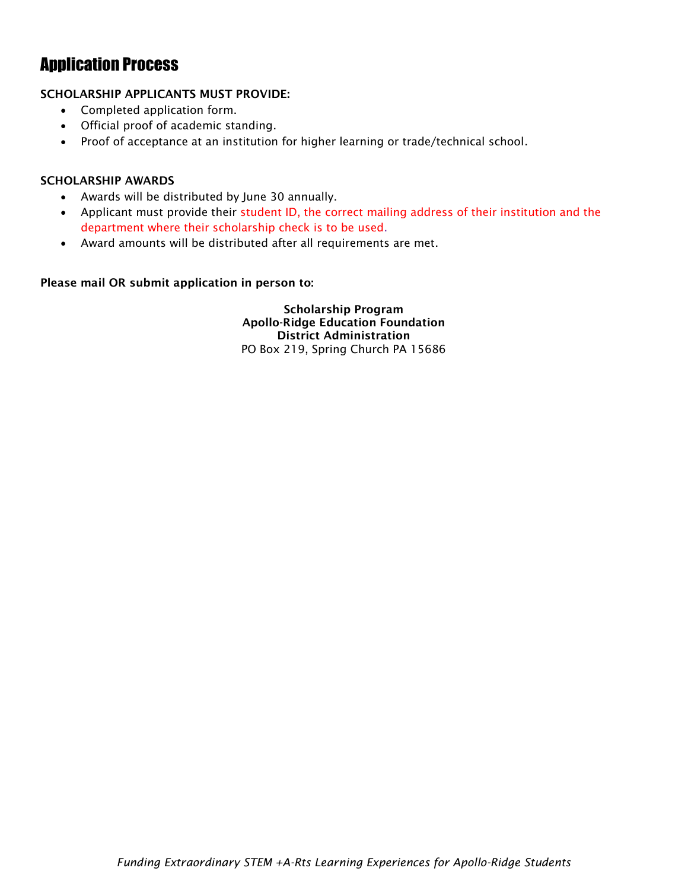### Application Process

### SCHOLARSHIP APPLICANTS MUST PROVIDE:

- Completed application form.
- Official proof of academic standing.
- Proof of acceptance at an institution for higher learning or trade/technical school.

#### SCHOLARSHIP AWARDS

- Awards will be distributed by June 30 annually.
- Applicant must provide their student ID, the correct mailing address of their institution and the department where their scholarship check is to be used.
- Award amounts will be distributed after all requirements are met.

#### Please mail OR submit application in person to:

Scholarship Program Apollo-Ridge Education Foundation District Administration PO Box 219, Spring Church PA 15686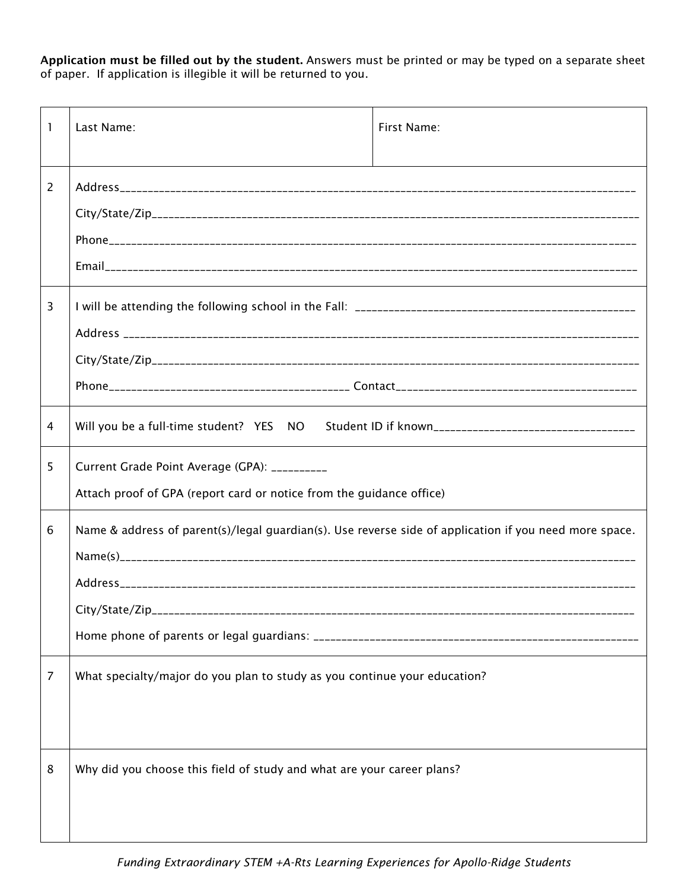Application must be filled out by the student. Answers must be printed or may be typed on a separate sheet of paper. If application is illegible it will be returned to you.

| 1 | Last Name:                                                                                             | First Name: |  |
|---|--------------------------------------------------------------------------------------------------------|-------------|--|
| 2 |                                                                                                        |             |  |
|   |                                                                                                        |             |  |
|   |                                                                                                        |             |  |
|   |                                                                                                        |             |  |
| 3 |                                                                                                        |             |  |
|   |                                                                                                        |             |  |
|   |                                                                                                        |             |  |
|   |                                                                                                        |             |  |
| 4 |                                                                                                        |             |  |
| 5 | Current Grade Point Average (GPA): __________                                                          |             |  |
|   | Attach proof of GPA (report card or notice from the guidance office)                                   |             |  |
| 6 | Name & address of parent(s)/legal guardian(s). Use reverse side of application if you need more space. |             |  |
|   |                                                                                                        |             |  |
|   |                                                                                                        |             |  |
|   |                                                                                                        |             |  |
|   |                                                                                                        |             |  |
| 7 | What specialty/major do you plan to study as you continue your education?                              |             |  |
|   |                                                                                                        |             |  |
| 8 | Why did you choose this field of study and what are your career plans?                                 |             |  |
|   |                                                                                                        |             |  |